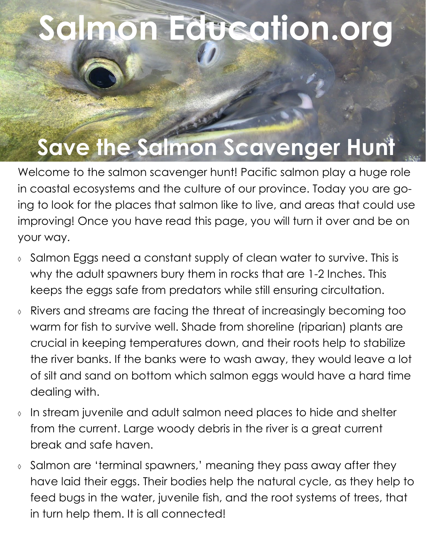## **Salmon Education.org**

## **Save the Salmon Scavenger Hunt**

Welcome to the salmon scavenger hunt! Pacific salmon play a huge role in coastal ecosystems and the culture of our province. Today you are going to look for the places that salmon like to live, and areas that could use improving! Once you have read this page, you will turn it over and be on your way.

- $\delta$  Salmon Eggs need a constant supply of clean water to survive. This is why the adult spawners bury them in rocks that are 1-2 Inches. This keeps the eggs safe from predators while still ensuring circultation.
- Rivers and streams are facing the threat of increasingly becoming too warm for fish to survive well. Shade from shoreline (riparian) plants are crucial in keeping temperatures down, and their roots help to stabilize the river banks. If the banks were to wash away, they would leave a lot of silt and sand on bottom which salmon eggs would have a hard time dealing with.
- In stream juvenile and adult salmon need places to hide and shelter from the current. Large woody debris in the river is a great current break and safe haven.
- Salmon are 'terminal spawners,' meaning they pass away after they have laid their eggs. Their bodies help the natural cycle, as they help to feed bugs in the water, juvenile fish, and the root systems of trees, that in turn help them. It is all connected!